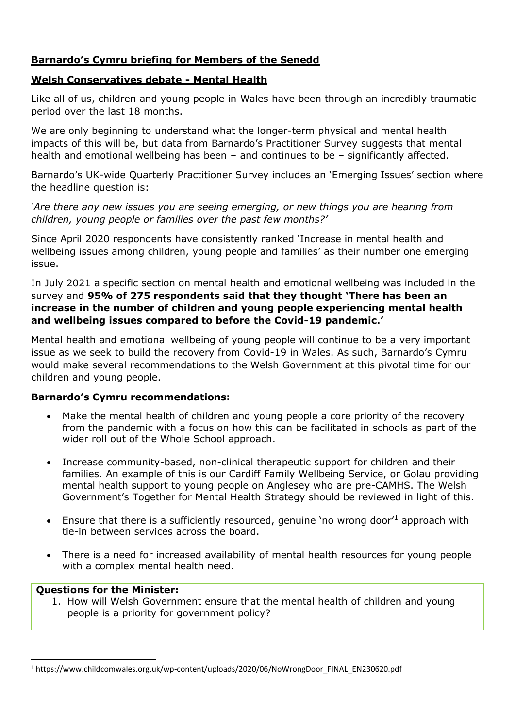# **Barnardo's Cymru briefing for Members of the Senedd**

## **Welsh Conservatives debate - Mental Health**

Like all of us, children and young people in Wales have been through an incredibly traumatic period over the last 18 months.

We are only beginning to understand what the longer-term physical and mental health impacts of this will be, but data from Barnardo's Practitioner Survey suggests that mental health and emotional wellbeing has been – and continues to be – significantly affected.

Barnardo's UK-wide Quarterly Practitioner Survey includes an 'Emerging Issues' section where the headline question is:

*'Are there any new issues you are seeing emerging, or new things you are hearing from children, young people or families over the past few months?'*

Since April 2020 respondents have consistently ranked 'Increase in mental health and wellbeing issues among children, young people and families' as their number one emerging issue.

In July 2021 a specific section on mental health and emotional wellbeing was included in the survey and **95% of 275 respondents said that they thought 'There has been an increase in the number of children and young people experiencing mental health and wellbeing issues compared to before the Covid-19 pandemic.'**

Mental health and emotional wellbeing of young people will continue to be a very important issue as we seek to build the recovery from Covid-19 in Wales. As such, Barnardo's Cymru would make several recommendations to the Welsh Government at this pivotal time for our children and young people.

### **Barnardo's Cymru recommendations:**

- Make the mental health of children and young people a core priority of the recovery from the pandemic with a focus on how this can be facilitated in schools as part of the wider roll out of the Whole School approach.
- Increase community-based, non-clinical therapeutic support for children and their families. An example of this is our Cardiff Family Wellbeing Service, or Golau providing mental health support to young people on Anglesey who are pre-CAMHS. The Welsh Government's Together for Mental Health Strategy should be reviewed in light of this.
- Ensure that there is a sufficiently resourced, genuine 'no wrong door'<sup>1</sup> approach with tie-in between services across the board.
- There is a need for increased availability of mental health resources for young people with a complex mental health need.

### **Questions for the Minister:**

1. How will Welsh Government ensure that the mental health of children and young people is a priority for government policy?

<sup>1</sup> https://www.childcomwales.org.uk/wp-content/uploads/2020/06/NoWrongDoor\_FINAL\_EN230620.pdf